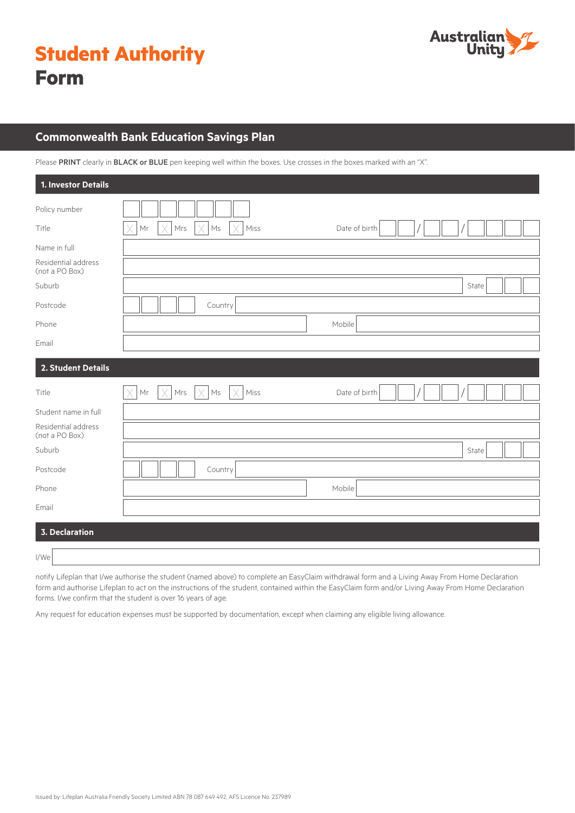|             | <b>Student Authority</b> |
|-------------|--------------------------|
| <b>Form</b> |                          |



# **Commonwealth Bank Education Savings Plan**

Please PRINT clearly in BLACK or BLUE pen keeping well within the boxes. Use crosses in the boxes marked with an "X".

| 1. Investor Details                   |                                                                     |               |
|---------------------------------------|---------------------------------------------------------------------|---------------|
| Policy number                         |                                                                     |               |
| Title                                 | Miss<br>Χ<br>$\mathsf{Mr}$<br>Χ<br>Mrs<br>X<br>$\mathsf{Ms}$<br>IX  | Date of birth |
| Name in full                          |                                                                     |               |
| Residential address<br>(not a PO Box) |                                                                     |               |
| Suburb                                |                                                                     | State         |
| Postcode                              | Country                                                             |               |
| Phone                                 |                                                                     | Mobile        |
| Email                                 |                                                                     |               |
| 2. Student Details                    |                                                                     |               |
| Title                                 | $\times$<br>$\mathsf{Mr}$<br>X<br>Mrs<br>Miss<br>$\mathsf{Ms}$<br>X | Date of birth |
| Student name in full                  |                                                                     |               |
| Residential address<br>(not a PO Box) |                                                                     |               |
| Suburb                                |                                                                     | State         |
| Postcode                              | Country                                                             |               |
| Phone                                 |                                                                     | Mobile        |
| Email                                 |                                                                     |               |
| <b>3. Declaration</b>                 |                                                                     |               |
| I/We                                  |                                                                     |               |

notify Lifeplan that I/we authorise the student (named above) to complete an EasyClaim withdrawal form and a Living Away From Home Declaration form and authorise Lifeplan to act on the instructions of the student, contained within the EasyClaim form and/or Living Away From Home Declaration forms. I/we confirm that the student is over 16 years of age.

Any request for education expenses must be supported by documentation, except when claiming any eligible living allowance.